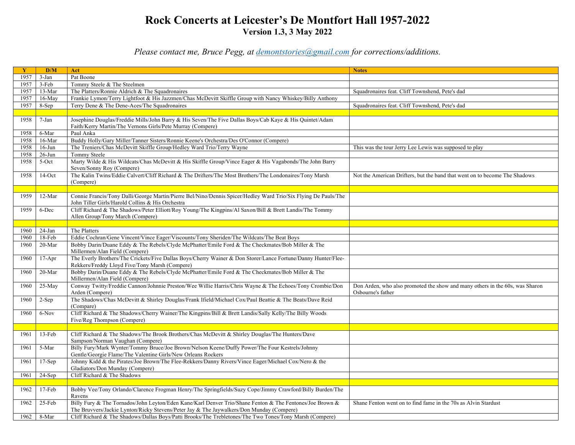## **Rock Concerts at Leicester's De Montfort Hall 1957-2022 Version 1.3, 3 May 2022**

*Please contact me, Bruce Pegg, at demontstories@gmail.com for corrections/additions.*

| $\mathbf{Y}$ | D/M       | Act                                                                                                                  | <b>Notes</b>                                                                 |
|--------------|-----------|----------------------------------------------------------------------------------------------------------------------|------------------------------------------------------------------------------|
| 1957         | $3-Jan$   | Pat Boone                                                                                                            |                                                                              |
| 1957         | $3-Feb$   | Tommy Steele & The Steelmen                                                                                          |                                                                              |
| 1957         | 13-Mar    | The Platters/Ronnie Aldrich & The Squadronaires                                                                      | Squadronaires feat. Cliff Townshend, Pete's dad                              |
| 1957         | $16-May$  | Frankie Lymon/Terry Lightfoot & His Jazzmen/Chas McDevitt Skiffle Group with Nancy Whiskey/Billy Anthony             |                                                                              |
| 1957         | 8-Sep     | Terry Dene & The Dene-Aces/The Squadronaires                                                                         | Squadronaires feat. Cliff Townshend, Pete's dad                              |
|              |           |                                                                                                                      |                                                                              |
| 1958         | 7-Jan     | Josephine Douglas/Freddie Mills/John Barry & His Seven/The Five Dallas Boys/Cab Kaye & His Quintet/Adam              |                                                                              |
|              |           | Faith/Kerry Martin/The Vernons Girls/Pete Murray (Compere)                                                           |                                                                              |
| 1958         | 6-Mar     | Paul Anka                                                                                                            |                                                                              |
| 1958         | 16-Mar    | Buddy Holly/Gary Miller/Tanner Sisters/Ronnie Keene's Orchestra/Des O'Connor (Compere)                               |                                                                              |
| 1958         | $16$ -Jun | The Treniers/Chas McDevitt Skiffle Group/Hedley Ward Trio/Terry Wayne                                                | This was the tour Jerry Lee Lewis was supposed to play                       |
| 1958         | $26$ -Jun | Tommy Steele                                                                                                         |                                                                              |
| 1958         | 5-Oct     | Marty Wilde & His Wildcats/Chas McDevitt & His Skiffle Group/Vince Eager & His Vagabonds/The John Barry              |                                                                              |
|              |           | Seven/Sonny Roy (Compere)                                                                                            |                                                                              |
| 1958         | $14$ -Oct | The Kalin Twins/Eddie Calvert/Cliff Richard & The Drifters/The Most Brothers/The Londonaires/Tony Marsh              | Not the American Drifters, but the band that went on to become The Shadows   |
|              |           | (Compere)                                                                                                            |                                                                              |
|              |           |                                                                                                                      |                                                                              |
| 1959         | 12-Mar    | Connie Francis/Tony Dalli/George Martin/Pierre Bel/Nino/Dennis Spicer/Hedley Ward Trio/Six Flying De Pauls/The       |                                                                              |
|              |           | John Tiller Girls/Harold Collins & His Orchestra                                                                     |                                                                              |
| 1959         | 6-Dec     | Cliff Richard & The Shadows/Peter Elliott/Roy Young/The Kingpins/Al Saxon/Bill & Brett Landis/The Tommy              |                                                                              |
|              |           | Allen Group/Tony March (Compere)                                                                                     |                                                                              |
|              |           |                                                                                                                      |                                                                              |
| 1960         | $24$ -Jan | The Platters                                                                                                         |                                                                              |
| 1960         | $18$ -Feb | Eddie Cochran/Gene Vincent/Vince Eager/Viscounts/Tony Sheriden/The Wildcats/The Beat Boys                            |                                                                              |
| 1960         | 20-Mar    | Bobby Darin/Duane Eddy & The Rebels/Clyde McPhatter/Emile Ford & The Checkmates/Bob Miller & The                     |                                                                              |
|              |           | Millermen/Alan Field (Compere)                                                                                       |                                                                              |
| 1960         | $17-Apr$  | The Everly Brothers/The Crickets/Five Dallas Boys/Cherry Wainer & Don Storer/Lance Fortune/Danny Hunter/Flee-        |                                                                              |
|              |           | Rekkers/Freddy Lloyd Five/Tony Marsh (Compere)                                                                       |                                                                              |
| 1960         | 20-Mar    | Bobby Darin/Duane Eddy & The Rebels/Clyde McPhatter/Emile Ford & The Checkmates/Bob Miller & The                     |                                                                              |
|              |           | Millermen/Alan Field (Compere)                                                                                       |                                                                              |
| 1960         | $25-May$  | Conway Twitty/Freddie Cannon/Johnnie Preston/Wee Willie Harris/Chris Wayne & The Echoes/Tony Crombie/Don             | Don Arden, who also promoted the show and many others in the 60s, was Sharon |
|              |           | Arden (Compere)                                                                                                      | Osbourne's father                                                            |
| 1960         | $2-Sep$   | The Shadows/Chas McDevitt & Shirley Douglas/Frank Ifield/Michael Cox/Paul Beattie & The Beats/Dave Reid<br>(Compare) |                                                                              |
| 1960         | 6-Nov     | Cliff Richard & The Shadows/Cherry Wainer/The Kingpins/Bill & Brett Landis/Sally Kelly/The Billy Woods               |                                                                              |
|              |           | Five/Reg Thompson (Compere)                                                                                          |                                                                              |
|              |           |                                                                                                                      |                                                                              |
| 1961         | 13-Feb    | Cliff Richard & The Shadows/The Brook Brothers/Chas McDevitt & Shirley Douglas/The Hunters/Dave                      |                                                                              |
|              |           | Sampson/Norman Vaughan (Compere)                                                                                     |                                                                              |
| 1961         | 5-Mar     | Billy Fury/Mark Wynter/Tommy Bruce/Joe Brown/Nelson Keene/Duffy Power/The Four Kestrels/Johnny                       |                                                                              |
|              |           | Gentle/Georgie Flame/The Valentine Girls/New Orleans Rockers                                                         |                                                                              |
| 1961         | $17-Sep$  | Johnny Kidd & the Pirates/Joe Brown/The Flee-Rekkers/Danny Rivers/Vince Eager/Michael Cox/Nero & the                 |                                                                              |
|              |           | Gladiators/Don Munday (Compere)                                                                                      |                                                                              |
| 1961         | $24-Sep$  | Cliff Richard & The Shadows                                                                                          |                                                                              |
|              |           |                                                                                                                      |                                                                              |
| 1962         | $17-Feb$  | Bobby Vee/Tony Orlando/Clarence Frogman Henry/The Springfields/Suzy Cope/Jimmy Crawford/Billy Burden/The             |                                                                              |
|              |           | Ravens                                                                                                               |                                                                              |
| 1962         | 25-Feb    | Billy Fury & The Tornados/John Leyton/Eden Kane/Karl Denver Trio/Shane Fenton & The Fentones/Joe Brown &             | Shane Fenton went on to find fame in the 70s as Alvin Stardust               |
|              |           | The Bruvvers/Jackie Lynton/Ricky Stevens/Peter Jay & The Jaywalkers/Don Munday (Compere)                             |                                                                              |
| 1962         | $8-Mar$   | Cliff Richard & The Shadows/Dallas Boys/Patti Brooks/The Trebletones/The Two Tones/Tony Marsh (Compere)              |                                                                              |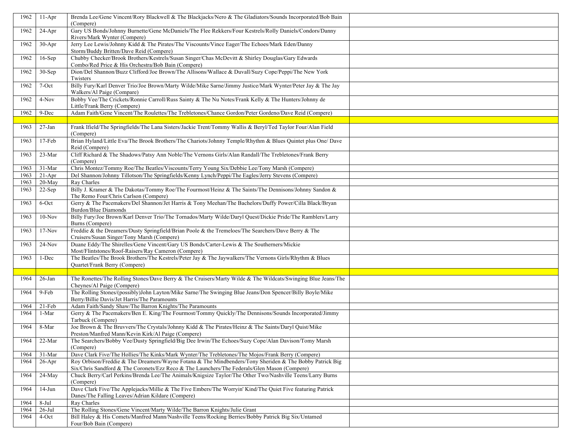| 1962 | $11-Apr$   | Brenda Lee/Gene Vincent/Rory Blackwell & The Blackjacks/Nero & The Gladiators/Sounds Incorporated/Bob Bain<br>(Compere)                                                                                 |
|------|------------|---------------------------------------------------------------------------------------------------------------------------------------------------------------------------------------------------------|
| 1962 | $24-Apr$   | Gary US Bonds/Johnny Burnette/Gene McDaniels/The Flee Rekkers/Four Kestrels/Rolly Daniels/Condors/Danny<br>Rivers/Mark Wynter (Compere)                                                                 |
| 1962 | $30-Apr$   | Jerry Lee Lewis/Johnny Kidd & The Pirates/The Viscounts/Vince Eager/The Echoes/Mark Eden/Danny<br>Storm/Buddy Britten/Dave Reid (Compere)                                                               |
| 1962 | $16-Sep$   | Chubby Checker/Brook Brothers/Kestrels/Susan Singer/Chas McDevitt & Shirley Douglas/Gary Edwards<br>Combo/Red Price & His Orchestra/Bob Bain (Compere)                                                  |
| 1962 | $30-Sep$   | Dion/Del Shannon/Buzz Clifford/Joe Brown/The Allisons/Wallace & Duvall/Suzy Cope/Peppi/The New York<br>Twisters                                                                                         |
| 1962 | 7-Oct      | Billy Fury/Karl Denver Trio/Joe Brown/Marty Wilde/Mike Sarne/Jimmy Justice/Mark Wynter/Peter Jay & The Jay<br>Walkers/Al Paige (Compare)                                                                |
| 1962 | 4-Nov      | Bobby Vee/The Crickets/Ronnie Carroll/Russ Sainty & The Nu Notes/Frank Kelly & The Hunters/Johnny de<br>Little/Frank Berry (Compere)                                                                    |
| 1962 | 9-Dec      | Adam Faith/Gene Vincent/The Roulettes/The Trebletones/Chance Gordon/Peter Gordeno/Dave Reid (Compere)                                                                                                   |
|      |            |                                                                                                                                                                                                         |
| 1963 | $27 - Jan$ | Frank Ifield/The Springfields/The Lana Sisters/Jackie Trent/Tommy Wallis & Beryl/Ted Taylor Four/Alan Field<br>(Compere)                                                                                |
| 1963 | $17-Feb$   | Brian Hyland/Little Eva/The Brook Brothers/The Chariots/Johnny Temple/Rhythm & Blues Quintet plus One/ Dave<br>Reid (Compere)                                                                           |
| 1963 | 23-Mar     | Cliff Richard & The Shadows/Patsy Ann Noble/The Vernons Girls/Alan Randall/The Trebletones/Frank Berry<br>(Compere)                                                                                     |
| 1963 | 31-Mar     | Chris Montez/Tommy Roe/The Beatles/Viscounts/Terry Young Six/Debbie Lee/Tony Marsh (Compere)                                                                                                            |
| 1963 | $21-Apr$   | Del Shannon/Johnny Tillotson/The Springfields/Kenny Lynch/Peppi/The Eagles/Jerry Stevens (Compere)                                                                                                      |
| 1963 | $20-May$   | Ray Charles                                                                                                                                                                                             |
| 1963 | $22-Sep$   | Billy J. Kramer & The Dakotas/Tommy Roe/The Fourmost/Heinz & The Saints/The Dennisons/Johnny Sandon &<br>The Remo Four/Chris Carlson (Compere)                                                          |
| 1963 | 6-Oct      | Gerry & The Pacemakers/Del Shannon/Jet Harris & Tony Meehan/The Bachelors/Duffy Power/Cilla Black/Bryan<br>Burdon/Blue Diamonds                                                                         |
| 1963 | $10-Nov$   | Billy Fury/Joe Brown/Karl Denver Trio/The Tornados/Marty Wilde/Daryl Quest/Dickie Pride/The Ramblers/Larry<br>Burns (Compere)                                                                           |
| 1963 | $17-Nov$   | Freddie & the Dreamers/Dusty Springfield/Brian Poole & the Tremeloes/The Searchers/Dave Berry & The<br>Cruisers/Susan Singer/Tony Marsh (Compere)                                                       |
| 1963 | $24-Nov$   | Duane Eddy/The Shirelles/Gene Vincent/Gary US Bonds/Carter-Lewis & The Southerners/Mickie<br>Most/Flintstones/Roof-Raisers/Ray Cameron (Compere)                                                        |
| 1963 | 1-Dec      | The Beatles/The Brook Brothers/The Kestrels/Peter Jay & The Jaywalkers/The Vernons Girls/Rhythm & Blues<br>Quartet/Frank Berry (Compere)                                                                |
|      |            |                                                                                                                                                                                                         |
| 1964 | $26$ -Jan  | The Ronettes/The Rolling Stones/Dave Berry & The Cruisers/Marty Wilde & The Wildcats/Swinging Blue Jeans/The<br>Cheynes/Al Paige (Compere)                                                              |
| 1964 | 9-Feb      | The Rolling Stones/(possibly)John Layton/Mike Sarne/The Swinging Blue Jeans/Don Spencer/Billy Boyle/Mike<br>Berry/Billie Davis/Jet Harris/The Paramounts                                                |
| 1964 | $21-Feb$   | Adam Faith/Sandy Shaw/The Barron Knights/The Paramounts                                                                                                                                                 |
| 1964 | 1-Mar      | Gerry & The Pacemakers/Ben E. King/The Fourmost/Tommy Quickly/The Dennisons/Sounds Incorporated/Jimmy<br>Tarbuck (Compere)                                                                              |
| 1964 | 8-Mar      | Joe Brown & The Bruvvers/The Crystals/Johnny Kidd & The Pirates/Heinz & The Saints/Daryl Quist/Mike<br>Preston/Manfred Mann/Kevin Kirk/Al Paige (Compere)                                               |
| 1964 | 22-Mar     | The Searchers/Bobby Vee/Dusty Springfield/Big Dee Irwin/The Echoes/Suzy Cope/Alan Davison/Tomy Marsh<br>(Compere)                                                                                       |
| 1964 | 31-Mar     | Dave Clark Five/The Hollies/The Kinks/Mark Wynter/The Trebletones/The Mojos/Frank Berry (Compere)                                                                                                       |
| 1964 | $26$ -Apr  | Roy Orbison/Freddie & The Dreamers/Wayne Fotana & The Mindbenders/Tony Sheriden & The Bobby Patrick Big<br>Six/Chris Sandford & The Coronets/Ezz Reco & The Launchers/The Federals/Glen Mason (Compere) |
| 1964 | 24-May     | Chuck Berry/Carl Perkins/Brenda Lee/The Animals/Knigsize Taylor/The Other Two/Nashville Teens/Larry Burns<br>(Compere)                                                                                  |
| 1964 | $14-Jun$   | Dave Clark Five/The Applejacks/Millie & The Five Embers/The Worryin' Kind/The Quiet Five featuring Patrick<br>Danes/The Falling Leaves/Adrian Kildare (Compere)                                         |
| 1964 | $8-Ju1$    | Ray Charles                                                                                                                                                                                             |
| 1964 | $26$ -Jul  | The Rolling Stones/Gene Vincent/Marty Wilde/The Barron Knights/Julie Grant                                                                                                                              |
| 1964 | $4$ -Oct   | Bill Haley & His Comets/Manfred Mann/Nashville Teens/Rocking Berries/Bobby Patrick Big Six/Untamed<br>Four/Bob Bain (Compere)                                                                           |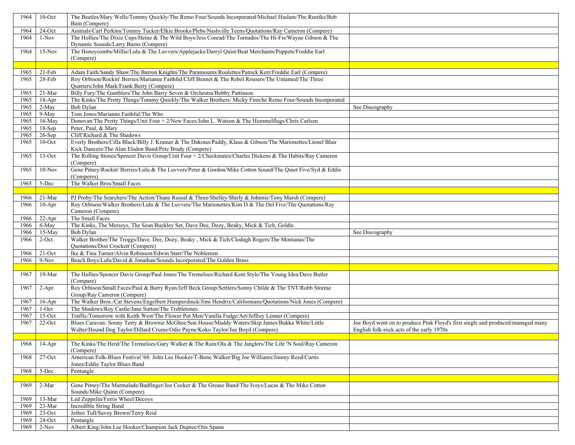| 1964         | $10$ -Oct            | The Beatles/Mary Wells/Tommy Quickly/The Remo Four/Sounds Incorporated/Michael Haslam/The Rustiks/Bob                                                                                                            |                                                                                 |
|--------------|----------------------|------------------------------------------------------------------------------------------------------------------------------------------------------------------------------------------------------------------|---------------------------------------------------------------------------------|
|              |                      | Bain (Compere)                                                                                                                                                                                                   |                                                                                 |
| 1964<br>1964 | $24$ -Oct<br>$1-Nov$ | Animals/Carl Perkins/Tommy Tucker/Elkie Brooks/Plebs/Nashville Teens/Quotations/Ray Cameron (Compere)<br>The Hollies/The Dixie Cups/Heinz & The Wild Boys/Jess Conrad/The Tornados/The Hi-Fis/Wayne Gibson & The |                                                                                 |
|              |                      | Dynamic Sounds/Larry Burns (Compere)                                                                                                                                                                             |                                                                                 |
| 1964         | $15-Nov$             | The Honeycombs/Millie/Lulu & The Luvvers/Applejacks/Darryl Quist/Beat Merchants/Puppets/Freddie Earl                                                                                                             |                                                                                 |
|              |                      | (Compere)                                                                                                                                                                                                        |                                                                                 |
|              |                      |                                                                                                                                                                                                                  |                                                                                 |
| 1965         | $21-Feb$             | Adam Faith/Sandy Shaw/The Barron Knights/The Paramounts/Roulettes/Patrick Kerr/Freddie Earl (Compere)                                                                                                            |                                                                                 |
| 1965         | 28-Feb               | Roy Orbison/Rockin' Berries/Marianne Faithful/Cliff Bennet & The Rebel Rousers/The Untamed/The Three<br>Quarters/John Mark/Frank Berry (Compere)                                                                 |                                                                                 |
| 1965         | 21-Mar               | Billy Fury/The Gamblers/The John Barry Seven & Orchestra/Bobby Pattinson                                                                                                                                         |                                                                                 |
| 1965         | $18-Apr$             | The Kinks/The Pretty Things/Tommy Quickly/The Walker Brothers/ Micky Finn/he Remo Four/Sounds Incorporated                                                                                                       |                                                                                 |
| 1965         | $2-May$              | Bob Dylan                                                                                                                                                                                                        | See Discography                                                                 |
| 1965         | 9-May                | Tom Jones/Marianne Faithful/The Who                                                                                                                                                                              |                                                                                 |
| 1965         | $16$ -May            | Donovan/The Pretty Things/Unit Four + 2/New Faces/John L. Watson & The Hummelflugs/Chris Carlsen                                                                                                                 |                                                                                 |
| 1965         | $18-Sep$             | Peter, Paul, & Mary                                                                                                                                                                                              |                                                                                 |
| 1965         | $26-Sep$             | Cliff Richard & The Shadows                                                                                                                                                                                      |                                                                                 |
| 1965         | $10$ -Oct            | Everly Brothers/Cilla Black/Billy J. Kramer & The Dakotas/Paddy, Klaus & Gibson/The Marionettes/Lionel Blair                                                                                                     |                                                                                 |
|              |                      | Kick Dancers/The Alan Elsdon Band/Pete Brady (Compere)                                                                                                                                                           |                                                                                 |
| 1965         | $13-Oct$             | The Rolling Stones/Spencer Davis Group/Unit Four + 2/Checkmates/Charles Dickens & The Habits/Ray Cameron<br>(Compere)                                                                                            |                                                                                 |
| 1965         | $10-Nov$             | Gene Pitney/Rockin' Berries/Lulu & The Luvvers/Peter & Gordon/Mike Cotton Sound/The Quiet Five/Syd & Eddie                                                                                                       |                                                                                 |
|              |                      | (Comperes)<br>The Walker Bros/Small Faces                                                                                                                                                                        |                                                                                 |
| 1965         | 5-Dec                |                                                                                                                                                                                                                  |                                                                                 |
| 1966         | $21-Mar$             | PJ Proby/The Searchers/The Action/Thane Russal & Three/Shelley/Shirly & Johnnie/Tony Marsh (Compere)                                                                                                             |                                                                                 |
| 1966         | $10-Apr$             | Roy Orbison/Walker Brothers/Lulu & The Luvvers/The Marionettes/Kim D & The Del Five/The Quotations/Ray                                                                                                           |                                                                                 |
|              |                      | Cameron (Compere)                                                                                                                                                                                                |                                                                                 |
| 1966         | $22-Apr$             | The Small Faces                                                                                                                                                                                                  |                                                                                 |
| 1966         | 6-May                | The Kinks, The Merseys, The Sean Buckley Set, Dave Dee, Dozy, Beaky, Mick & Tich, Goldie.                                                                                                                        |                                                                                 |
| 1966         | $15-May$             | Bob Dylan                                                                                                                                                                                                        | See Discography                                                                 |
| 1966         | $2$ -Oct             | Walker Brother/The Troggs/Dave. Dee, Dozy, Beaky , Mick & Tich/Clodagh Rogers/The Montanas/The                                                                                                                   |                                                                                 |
| 1966         |                      | <b>Quotations/Don Crockett (Compere)</b><br>Ike & Tina Turner/Alvin Robinson/Edwin Starr/The Noblemen                                                                                                            |                                                                                 |
| 1966         | $21$ -Oct<br>$9-Nov$ | Beach Boys/Lulu/David & Jonathan/Sounds Incorporated/The Golden Brass                                                                                                                                            |                                                                                 |
|              |                      |                                                                                                                                                                                                                  |                                                                                 |
| 1967         | 19-Mar               | The Hollies/Spencer Davis Group/Paul Jones/The Tremeloes/Richard Kent Style/The Young Idea/Dave Butler                                                                                                           |                                                                                 |
|              |                      | (Compare)                                                                                                                                                                                                        |                                                                                 |
| 1967         | $2-Apr$              | Roy Orbison/Small Faces/Paul & Barry Ryan/Jeff Beck Group/Settlers/Sonny Childe & The TNT/Robb Storme<br>Group/Ray Cameron (Compere)                                                                             |                                                                                 |
| 1967         | $16$ -Apr            | The Walker Bros./Cat Stevens/Engelbert Humperdinck/Jimi Hendrix/Californians/Quotations/Nick Jones (Compere)                                                                                                     |                                                                                 |
| 1967         | $1$ -Oct             | The Shadows/Roy Castle/Jane Sutton/The Trebletones                                                                                                                                                               |                                                                                 |
| 1967         | $15$ -Oct            | Traffic/Tomorrow with Keith West/The Flower Pot Men/Vanilla Fudge/Art/Jeffrey Lenner (Compere)                                                                                                                   |                                                                                 |
| 1967         | $22$ -Oct            | Blues Caravan: Sonny Terry & Brownie McGhee/Son House/Muddy Waters/Skip James/Bukka White/Little                                                                                                                 | Joe Boyd went on to produce Pink Floyd's first single and produced/managed many |
|              |                      | Walter/Hound Dog Taylor/Dillard Crume/Odie Payne/Koko Taylor/Joe Boyd (Compere)                                                                                                                                  | English folk-rock acts of the early 1970s                                       |
|              |                      |                                                                                                                                                                                                                  |                                                                                 |
| 1968         | $14-Apr$             | The Kinks/The Herd/The Tremeloes/Gary Walker & The Rain/Ola & The Janglers/The Life 'N Soul/Ray Cameron<br>(Compere)                                                                                             |                                                                                 |
| 1968         | $27$ -Oct            | American Folk-Blues Festival '68: John Lee Hooker/T-Bone Walker/Big Joe Williams/Jimmy Reed/Curtis                                                                                                               |                                                                                 |
|              |                      | Jones/Eddie Taylor Blues Band                                                                                                                                                                                    |                                                                                 |
| 1968         | 5-Dec                | Pentangle                                                                                                                                                                                                        |                                                                                 |
| 1969         | 2-Mar                | Gene Pitney/The Marmalade/Badfinger/Joe Cocker & The Grease Band/The Iveys/Lucas & The Mike Cotton                                                                                                               |                                                                                 |
|              |                      | Sounds/Mike Quinn (Compere)                                                                                                                                                                                      |                                                                                 |
| 1969         | 13-Mar               | Led Zeppelin/Ferris Wheel/Decoys                                                                                                                                                                                 |                                                                                 |
|              |                      |                                                                                                                                                                                                                  |                                                                                 |
| 1969         | 23-Mar               | Incredible String Band                                                                                                                                                                                           |                                                                                 |
| 1969         | $23$ -Oct            | Jethro Tull/Savoy Brown/Terry Reid                                                                                                                                                                               |                                                                                 |
| 1969<br>1969 | $24$ -Oct<br>$2-Nov$ | Pentangle<br>Albert King/John Lee Hooker/Champion Jack Dupree/Otis Spann                                                                                                                                         |                                                                                 |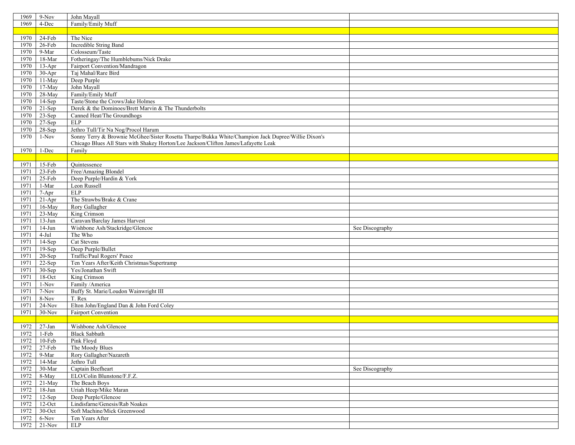| 1969         | $9-Nov$           | John Mayall                                                                                        |                 |
|--------------|-------------------|----------------------------------------------------------------------------------------------------|-----------------|
| 1969         | 4-Dec             | Family/Emily Muff                                                                                  |                 |
|              |                   |                                                                                                    |                 |
| 1970         | $24-Feb$          | The Nice                                                                                           |                 |
| 1970         | 26-Feb            | Incredible String Band                                                                             |                 |
| 1970         | 9-Mar             | Colosseum/Taste                                                                                    |                 |
|              |                   | Fotheringay/The Humblebums/Nick Drake                                                              |                 |
| 1970         | 18-Mar            |                                                                                                    |                 |
| 1970         | $13-Apr$          | Fairport Convention/Mandragon                                                                      |                 |
| 1970         | $30-Apr$          | Taj Mahal/Rare Bird                                                                                |                 |
| 1970         | $11-May$          | Deep Purple                                                                                        |                 |
| 1970         | 17-May            | John Mayall                                                                                        |                 |
| 1970         | 28-May            | Family/Emily Muff                                                                                  |                 |
| 1970         | $14-Sep$          | Taste/Stone the Crows/Jake Holmes                                                                  |                 |
| 1970         | $21-Sep$          | Derek & the Dominoes/Brett Marvin & The Thunderbolts                                               |                 |
| 1970         | $23-Sep$          | Canned Heat/The Groundhogs                                                                         |                 |
| 1970         | $27-Sep$          | <b>ELP</b>                                                                                         |                 |
| 1970         | 28-Sep            | Jethro Tull/Tir Na Nog/Procol Harum                                                                |                 |
| 1970         | $1-Nov$           | Sonny Terry & Brownie McGhee/Sister Rosetta Tharpe/Bukka White/Champion Jack Dupree/Willie Dixon's |                 |
|              |                   | Chicago Blues All Stars with Shakey Horton/Lee Jackson/Clifton James/Lafayette Leak                |                 |
| 1970         | 1-Dec             | Family                                                                                             |                 |
|              |                   |                                                                                                    |                 |
| 1971         | 15-Feb            | Ouintessence                                                                                       |                 |
|              |                   |                                                                                                    |                 |
| 1971         | 23-Feb            | Free/Amazing Blondel                                                                               |                 |
| 1971         | 25-Feb            | Deep Purple/Hardin & York                                                                          |                 |
| 1971         | 1-Mar             | Leon Russell                                                                                       |                 |
| 1971         | 7-Apr             | ELP                                                                                                |                 |
| 1971         | $21-Apr$          | The Strawbs/Brake & Crane                                                                          |                 |
| 1971         | $16-May$          | Rory Gallagher                                                                                     |                 |
| 1971         | 23-May            | King Crimson                                                                                       |                 |
| 1971         | $13-Jun$          | Caravan/Barclay James Harvest                                                                      |                 |
| 1971         | $14-Jun$          | Wishbone Ash/Stackridge/Glencoe                                                                    | See Discography |
| 1971         | $4-Jul$           | The Who                                                                                            |                 |
| 1971         | $14-Sep$          | Cat Stevens                                                                                        |                 |
| 1971         | $19-$ Sep         | Deep Purple/Bullet                                                                                 |                 |
| 1971         | $20-Sep$          | Traffic/Paul Rogers' Peace                                                                         |                 |
| 1971         | 22-Sep            | Ten Years After/Keith Christmas/Supertramp                                                         |                 |
| 1971         | 30-Sep            | Yes/Jonathan Swift                                                                                 |                 |
|              |                   |                                                                                                    |                 |
| 1971         | $18$ -Oct         | King Crimson                                                                                       |                 |
| 1971         | $1-Nov$           | Family /America                                                                                    |                 |
| 1971         | 7-Nov             | Buffy St. Marie/Loudon Wainwright III                                                              |                 |
| 1971         | 8-Nov             | T. Rex                                                                                             |                 |
| 1971         | $24-Nov$          | Elton John/England Dan & John Ford Coley                                                           |                 |
| 1971         | $30-Nov$          | Fairport Convention                                                                                |                 |
|              |                   |                                                                                                    |                 |
| 1972         | $27-Ian$          | Wishbone Ash/Glencoe                                                                               |                 |
| 1972         | 1-Feb             | <b>Black Sabbath</b>                                                                               |                 |
|              | 1972 10-Feb       | Pink Floyd                                                                                         |                 |
| 1972         | 27-Feb            | The Moody Blues                                                                                    |                 |
| 1972         | 9-Mar             | Rory Gallagher/Nazareth                                                                            |                 |
| 1972         | 14-Mar            | Jethro Tull                                                                                        |                 |
| 1972         | 30-Mar            | Captain Beefheart                                                                                  | See Discography |
| 1972         | 8-May             | ELO/Colin Blunstone/F.F.Z.                                                                         |                 |
| 1972         |                   | The Beach Boys                                                                                     |                 |
|              |                   |                                                                                                    |                 |
|              | 21-May            |                                                                                                    |                 |
| 1972         | $18 - Jun$        | Uriah Heep/Mike Maran                                                                              |                 |
| 1972         | $12-Sep$          | Deep Purple/Glencoe                                                                                |                 |
| 1972         | $12$ -Oct         | Lindisfarne/Genesis/Rab Noakes                                                                     |                 |
| 1972         | $30$ -Oct         | Soft Machine/Mick Greenwood                                                                        |                 |
| 1972<br>1972 | 6-Nov<br>$21-Nov$ | Ten Years After<br>ELP                                                                             |                 |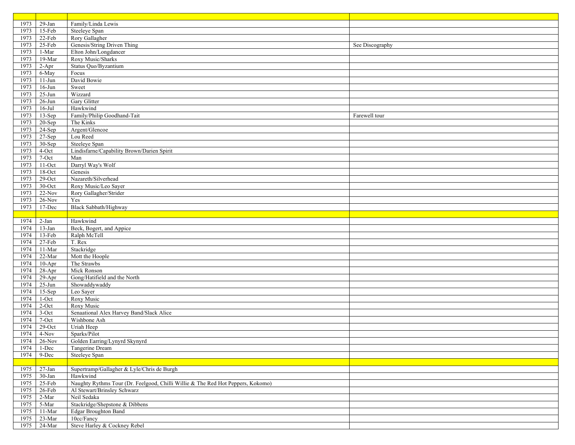| 1973 | $29-Ian$    | Family/Linda Lewis                                                              |                 |
|------|-------------|---------------------------------------------------------------------------------|-----------------|
| 1973 | 15-Feb      | Steeleye Span                                                                   |                 |
| 1973 | $22$ -Feb   | Rory Gallagher                                                                  |                 |
| 1973 | 25-Feb      | Genesis/String Driven Thing                                                     | See Discography |
| 1973 | $1-Mar$     | Elton John/Longdancer                                                           |                 |
| 1973 | 19-Mar      | Roxy Music/Sharks                                                               |                 |
| 1973 | $2-Apr$     | Status Quo/Byzantium                                                            |                 |
| 1973 | 6-May       | Focus                                                                           |                 |
| 1973 | $11-Jun$    | David Bowie                                                                     |                 |
| 1973 | $16$ -Jun   | Sweet                                                                           |                 |
| 1973 | $25 - Jun$  | Wizzard                                                                         |                 |
|      |             | Gary Glitter                                                                    |                 |
| 1973 | $26$ -Jun   |                                                                                 |                 |
| 1973 | $16$ -Jul   | Hawkwind                                                                        |                 |
| 1973 | $13-Sep$    | Family/Philip Goodhand-Tait                                                     | Farewell tour   |
| 1973 | 20-Sep      | The Kinks                                                                       |                 |
| 1973 | 24-Sep      | Argent/Glencoe                                                                  |                 |
| 1973 | $27-Sep$    | Lou Reed                                                                        |                 |
| 1973 | 30-Sep      | Steeleye Span                                                                   |                 |
| 1973 | 4-Oct       | Lindisfarne/Capability Brown/Darien Spirit                                      |                 |
| 1973 | 7-Oct       | Man                                                                             |                 |
| 1973 | $11-Oct$    | Darryl Way's Wolf                                                               |                 |
| 1973 | $18$ -Oct   | Genesis                                                                         |                 |
| 1973 | $29$ -Oct   | Nazareth/Silverhead                                                             |                 |
| 1973 | $30$ -Oct   | Roxy Music/Leo Sayer                                                            |                 |
| 1973 | $22-Nov$    | Rory Gallagher/Strider                                                          |                 |
| 1973 | $26$ -Nov   | Yes                                                                             |                 |
| 1973 | 17-Dec      | Black Sabbath/Highway                                                           |                 |
|      |             |                                                                                 |                 |
| 1974 | $2-Jan$     | Hawkwind                                                                        |                 |
| 1974 | $13$ -Jan   | Beck, Bogert, and Appice                                                        |                 |
| 1974 | 13-Feb      | Ralph McTell                                                                    |                 |
| 1974 | 27-Feb      | T. Rex                                                                          |                 |
| 1974 | $11-Mar$    | Stackridge                                                                      |                 |
| 1974 | 22-Mar      | Mott the Hoople                                                                 |                 |
| 1974 | $10-Apr$    | The Strawbs                                                                     |                 |
| 1974 | $28 - Apr$  | Mick Ronson                                                                     |                 |
| 1974 | $29-Apr$    | Gong/Hatifield and the North                                                    |                 |
| 1974 | $25-Jun$    | Showaddywaddy                                                                   |                 |
| 1974 | $15-Sep$    | Leo Sayer                                                                       |                 |
| 1974 | $1$ -Oct    | Roxy Music                                                                      |                 |
| 1974 | $2$ -Oct    | Roxy Music                                                                      |                 |
| 1974 | 3-Oct       | Senaational Alex Harvey Band/Slack Alice                                        |                 |
| 1974 | 7-Oct       | Wishbone Ash                                                                    |                 |
| 1974 | $29$ -Oct   | Uriah Heep                                                                      |                 |
| 1974 | 4-Nov       | Sparks/Pilot                                                                    |                 |
| 1974 | $26$ -Nov   | Golden Earring/Lynyrd Skynyrd                                                   |                 |
| 1974 | 1-Dec       | Tangerine Dream                                                                 |                 |
| 1974 | 9-Dec       | Steeleye Span                                                                   |                 |
|      |             |                                                                                 |                 |
| 1975 | $27-Ian$    | Supertramp/Gallagher & Lyle/Chris de Burgh                                      |                 |
| 1975 | 30-Jan      | Hawkwind                                                                        |                 |
| 1975 | 25-Feb      | Naughty Rythms Tour (Dr. Feelgood, Chilli Willie & The Red Hot Peppers, Kokomo) |                 |
| 1975 | $26$ -Feb   | Al Stewart/Brinsley Schwarz                                                     |                 |
| 1975 | $2-Mar$     | Neil Sedaka                                                                     |                 |
| 1975 | 5-Mar       | Stackridge/Shepstone & Dibbens                                                  |                 |
| 1975 | $11-Mar$    | Edgar Broughton Band                                                            |                 |
| 1975 | $23-Mar$    | 10cc/Fancy                                                                      |                 |
|      | 1975 24-Mar | Steve Harley & Cockney Rebel                                                    |                 |
|      |             |                                                                                 |                 |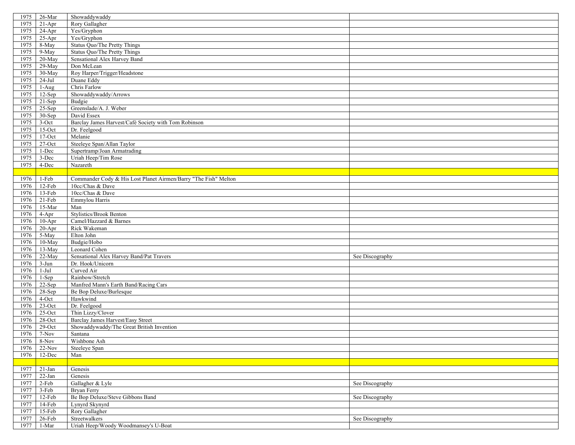| 1975 | 26-Mar     | Showaddywaddy                                                   |                 |
|------|------------|-----------------------------------------------------------------|-----------------|
| 1975 | $21-Apr$   | Rory Gallagher                                                  |                 |
| 1975 | $24-Apr$   | Yes/Gryphon                                                     |                 |
| 1975 | $25-Apr$   | Yes/Gryphon                                                     |                 |
| 1975 | 8-May      | Status Quo/The Pretty Things                                    |                 |
| 1975 | 9-May      | Status Quo/The Pretty Things                                    |                 |
| 1975 | $20$ -May  | Sensational Alex Harvey Band                                    |                 |
| 1975 | 29-May     | Don McLean                                                      |                 |
|      |            |                                                                 |                 |
| 1975 | 30-May     | Roy Harper/Trigger/Headstone                                    |                 |
| 1975 | $24-Jul$   | Duane Eddy                                                      |                 |
| 1975 | $1-Aug$    | Chris Farlow                                                    |                 |
| 1975 | 12-Sep     | Showaddywaddy/Arrows                                            |                 |
| 1975 | $21-Sep$   | Budgie                                                          |                 |
| 1975 | $25-Sep$   | Greenslade/A. J. Weber                                          |                 |
| 1975 | 30-Sep     | David Essex                                                     |                 |
| 1975 | 3-Oct      | Barclay James Harvest/Café Society with Tom Robinson            |                 |
| 1975 | $15-Oct$   | Dr. Feelgood                                                    |                 |
| 1975 | $17-Oct$   | Melanie                                                         |                 |
| 1975 | 27-Oct     | Steeleye Span/Allan Taylor                                      |                 |
| 1975 | 1-Dec      | Supertramp/Joan Armatrading                                     |                 |
| 1975 | 3-Dec      | Uriah Heep/Tim Rose                                             |                 |
| 1975 | 4-Dec      | Nazareth                                                        |                 |
|      |            |                                                                 |                 |
| 1976 | 1-Feb      | Commander Cody & His Lost Planet Airmen/Barry "The Fish" Melton |                 |
| 1976 | 12-Feb     | 10cc/Chas & Dave                                                |                 |
| 1976 | $13-Feb$   | 10cc/Chas & Dave                                                |                 |
| 1976 | $21-Feb$   | Emmylou Harris                                                  |                 |
| 1976 | 15-Mar     | Man                                                             |                 |
| 1976 | 4-Apr      | <b>Stylistics/Brook Benton</b>                                  |                 |
| 1976 | $10-Apr$   | Camel/Hazzard & Barnes                                          |                 |
| 1976 | $20 - Apr$ | Rick Wakeman                                                    |                 |
| 1976 | 5-May      | Elton John                                                      |                 |
| 1976 | 10-May     | Budgie/Hobo                                                     |                 |
| 1976 | 13-May     | Leonard Cohen                                                   |                 |
| 1976 | 22-May     | Sensational Alex Harvey Band/Pat Travers                        | See Discography |
| 1976 | $3-Jun$    | Dr. Hook/Unicorn                                                |                 |
| 1976 | $1-Jul$    | Curved Air                                                      |                 |
| 1976 | $1-Sep$    | Rainbow/Stretch                                                 |                 |
| 1976 | 22-Sep     | Manfred Mann's Earth Band/Racing Cars                           |                 |
| 1976 | 28-Sep     | Be Bop Deluxe/Burlesque                                         |                 |
|      |            |                                                                 |                 |
| 1976 | 4-Oct      | Hawkwind                                                        |                 |
| 1976 | $23$ -Oct  | Dr. Feelgood                                                    |                 |
| 1976 | $25$ -Oct  | Thin Lizzy/Clover                                               |                 |
| 1976 | $28 - Oct$ | Barclay James Harvest/Easy Street                               |                 |
| 1976 | $29$ -Oct  | Showaddywaddy/The Great British Invention                       |                 |
| 1976 | $7-Nov$    | Santana                                                         |                 |
| 1976 | 8-Nov      | Wishbone Ash                                                    |                 |
| 1976 | $22-Nov$   | Steeleye Span                                                   |                 |
| 1976 | 12-Dec     | Man                                                             |                 |
|      |            |                                                                 |                 |
| 1977 | $21-Ian$   | Genesis                                                         |                 |
| 1977 | $22-Jan$   | Genesis                                                         |                 |
| 1977 | 2-Feb      | Gallagher & Lyle                                                | See Discography |
| 1977 | 3-Feb      | <b>Bryan Ferry</b>                                              |                 |
| 1977 | 12-Feb     | Be Bop Deluxe/Steve Gibbons Band                                | See Discography |
| 1977 | 14-Feb     | Lynyrd Skynyrd                                                  |                 |
| 1977 | $15-Feb$   | Rory Gallagher                                                  |                 |
| 1977 | 26-Feb     | Streetwalkers                                                   | See Discography |
| 1977 | $1-Mar$    | Uriah Heep/Woody Woodmansey's U-Boat                            |                 |
|      |            |                                                                 |                 |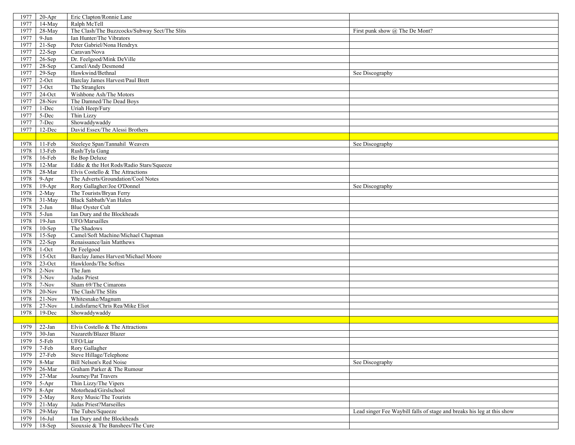| 1977 | $20-Apr$           | Eric Clapton/Ronnie Lane                      |                                                                        |
|------|--------------------|-----------------------------------------------|------------------------------------------------------------------------|
| 1977 | $14-May$           | Ralph McTell                                  |                                                                        |
| 1977 | 28-May             | The Clash/The Buzzcocks/Subway Sect/The Slits | First punk show @ The De Mont?                                         |
| 1977 | $9-Jun$            | Ian Hunter/The Vibrators                      |                                                                        |
| 1977 | $21-Sep$           | Peter Gabriel/Nona Hendryx                    |                                                                        |
|      |                    |                                               |                                                                        |
| 1977 | 22-Sep             | Caravan/Nova                                  |                                                                        |
| 1977 | $26-Sep$           | Dr. Feelgood/Mink DeVille                     |                                                                        |
| 1977 | $28-Sep$           | Camel/Andy Desmond                            |                                                                        |
| 1977 | 29-Sep             | Hawkwind/Bethnal                              | See Discography                                                        |
| 1977 | 2-Oct              | Barclay James Harvest/Paul Brett              |                                                                        |
| 1977 | 3-Oct              | The Stranglers                                |                                                                        |
| 1977 | $24$ -Oct          | Wishbone Ash/The Motors                       |                                                                        |
| 1977 | 28-Nov             | The Damned/The Dead Boys                      |                                                                        |
| 1977 | 1-Dec              | Uriah Heep/Fury                               |                                                                        |
| 1977 | 5-Dec              | Thin Lizzy                                    |                                                                        |
| 1977 | 7-Dec              | Showaddywaddy                                 |                                                                        |
| 1977 | 12-Dec             | David Essex/The Alessi Brothers               |                                                                        |
|      |                    |                                               |                                                                        |
| 1978 | $11-Feb$           | Steeleye Span/Tannahil Weavers                | See Discography                                                        |
| 1978 | 13-Feb             | Rush/Tyla Gang                                |                                                                        |
| 1978 | 16-Feb             | Be Bop Deluxe                                 |                                                                        |
| 1978 | 12-Mar             | Eddie & the Hot Rods/Radio Stars/Squeeze      |                                                                        |
| 1978 | $28 - Mar$         | Elvis Costello & The Attractions              |                                                                        |
| 1978 | 9-Apr              | The Adverts/Groundation/Cool Notes            |                                                                        |
| 1978 | $19-Apr$           | Rory Gallagher/Joe O'Donnel                   | See Discography                                                        |
| 1978 | 2-May              | The Tourists/Bryan Ferry                      |                                                                        |
| 1978 | 31-May             | Black Sabbath/Van Halen                       |                                                                        |
| 1978 | $2-Jun$            | <b>Blue Ovster Cult</b>                       |                                                                        |
| 1978 | 5-Jun              | Ian Dury and the Blockheads                   |                                                                        |
| 1978 | $19-Jun$           | UFO/Marsailles                                |                                                                        |
| 1978 | $10-$ Sep          | The Shadows                                   |                                                                        |
| 1978 |                    | Camel/Soft Machine/Michael Chapman            |                                                                        |
| 1978 | $15-Sep$<br>22-Sep | Renaissance/Iain Matthews                     |                                                                        |
|      |                    |                                               |                                                                        |
| 1978 | $1-Oct$            | Dr Feelgood                                   |                                                                        |
| 1978 | $15-Oct$           | Barclay James Harvest/Michael Moore           |                                                                        |
| 1978 | $23$ -Oct          | Hawklords/The Softies                         |                                                                        |
| 1978 | $2-Nov$            | The Jam                                       |                                                                        |
| 1978 | $3-Nov$            | Judas Priest                                  |                                                                        |
| 1978 | 7-Nov              | Sham 69/The Cimarons                          |                                                                        |
| 1978 | $20-Nov$           | The Clash/The Slits                           |                                                                        |
| 1978 | $21-Nov$           | Whitesnake/Magnum                             |                                                                        |
| 1978 | $27-Nov$           | Lindisfarne/Chris Rea/Mike Eliot              |                                                                        |
| 1978 | 19-Dec             | Showaddywaddy                                 |                                                                        |
|      |                    |                                               |                                                                        |
| 1979 | $22-Ian$           | Elvis Costello & The Attractions              |                                                                        |
| 1979 | 30-Jan             | Nazareth/Blazer Blazer                        |                                                                        |
| 1979 | 5-Feb              | UFO/Liar                                      |                                                                        |
| 1979 | $7$ -Feb $\,$      | Rory Gallagher                                |                                                                        |
| 1979 | $27-Feb$           | Steve Hillage/Telephone                       |                                                                        |
| 1979 | 8-Mar              | Bill Nelson's Red Noise                       | See Discography                                                        |
| 1979 | $26$ -Mar          | Graham Parker & The Rumour                    |                                                                        |
| 1979 | $27 - Mar$         | Journey/Pat Travers                           |                                                                        |
| 1979 | 5-Apr              | Thin Lizzy/The Vipers                         |                                                                        |
| 1979 | 8-Apr              | Motorhead/Girslschool                         |                                                                        |
| 1979 | 2-May              | Roxy Music/The Tourists                       |                                                                        |
| 1979 | 21-May             | Judas Priest?Marseilles                       |                                                                        |
| 1978 | 29-May             | The Tubes/Squeeze                             | Lead singer Fee Waybill falls of stage and breaks his leg at this show |
| 1979 | $16$ -Jul          | Ian Dury and the Blockheads                   |                                                                        |
| 1979 | $18-Sep$           | Siouxsie & The Banshees/The Cure              |                                                                        |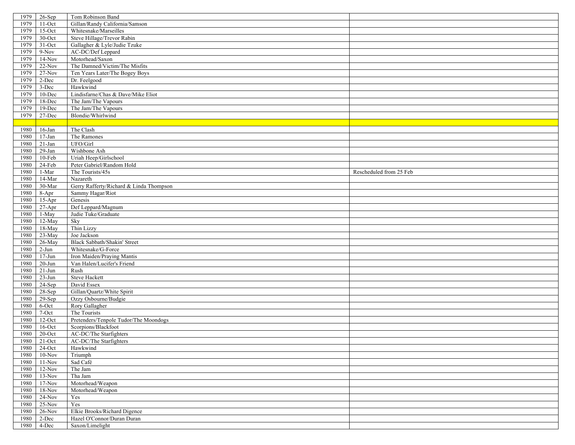| 1979 | $26-Sep$       | Tom Robinson Band                       |                         |
|------|----------------|-----------------------------------------|-------------------------|
| 1979 | $11$ -Oct      | Gillan/Randy California/Samson          |                         |
| 1979 | $15$ -Oct      | Whitesnake/Marseilles                   |                         |
| 1979 | 30-Oct         | Steve Hillage/Trevor Rabin              |                         |
| 1979 | $31$ -Oct      | Gallagher & Lyle/Judie Tzuke            |                         |
| 1979 | $9-Nov$        | AC-DC/Def Leppard                       |                         |
| 1979 | $14-Nov$       | Motorhead/Saxon                         |                         |
| 1979 | $22-Nov$       | The Damned/Victim/The Misfits           |                         |
| 1979 | $27-Nov$       | Ten Years Later/The Bogey Boys          |                         |
| 1979 | $2-Dec$        | Dr. Feelgood                            |                         |
| 1979 | 3-Dec          | Hawkwind                                |                         |
| 1979 | 10-Dec         | Lindisfarne/Chas & Dave/Mike Eliot      |                         |
| 1979 | 18-Dec         | The Jam/The Vapours                     |                         |
| 1979 | $19$ -Dec      | The Jam/The Vapours                     |                         |
| 1979 | $27 - Dec$     | Blondie/Whirlwind                       |                         |
|      |                |                                         |                         |
| 1980 | $16$ -Jan      | The Clash                               |                         |
| 1980 | $17-Ian$       | The Ramones                             |                         |
| 1980 | $21$ -Jan $\,$ | UFO/Girl                                |                         |
| 1980 | $29-Ian$       | Wishbone Ash                            |                         |
| 1980 | $10$ -Feb      | Uriah Heep/Girlschool                   |                         |
| 1980 | $24-Feb$       | Peter Gabriel/Random Hold               |                         |
| 1980 | 1-Mar          | The Tourists/45s                        | Rescheduled from 25 Feb |
| 1980 | $14-Mar$       | Nazareth                                |                         |
| 1980 | 30-Mar         | Gerry Rafferty/Richard & Linda Thompson |                         |
| 1980 | 8-Apr          | Sammy Hagar/Riot                        |                         |
| 1980 | $15-Apr$       | Genesis                                 |                         |
| 1980 | $27-Apr$       | Def Leppard/Magnum                      |                         |
| 1980 | 1-May          | Judie Tuke/Graduate                     |                         |
| 1980 | $12$ -May      | Sky                                     |                         |
| 1980 | 18-May         | Thin Lizzy                              |                         |
| 1980 | 23-May         | Joe Jackson                             |                         |
| 1980 | 26-May         | Black Sabbath/Shakin' Street            |                         |
| 1980 | $2-Jun$        | Whitesnake/G-Force                      |                         |
| 1980 | $17 - Jun$     | Iron Maiden/Praying Mantis              |                         |
| 1980 | $20 - Jun$     | Van Halen/Lucifer's Friend              |                         |
| 1980 | $21-Jun$       | Rush                                    |                         |
| 1980 | $23-Jun$       | <b>Steve Hackett</b>                    |                         |
| 1980 | $24-Sep$       | David Essex                             |                         |
| 1980 | 28-Sep         | Gillan/Quartz/White Spirit              |                         |
| 1980 | $29-Sep$       | Ozzy Osbourne/Budgie                    |                         |
| 1980 | 6-Oct          | Rory Gallagher                          |                         |
| 1980 | 7-Oct          | The Tourists                            |                         |
| 1980 | $12$ -Oct      | Pretenders/Tenpole Tudor/The Moondogs   |                         |
| 1980 | $16$ -Oct      | Scorpions/Blackfoot                     |                         |
| 1980 | $20$ -Oct      | AC-DC/The Starfighters                  |                         |
|      | 1980 21-Oct    | AC-DC/The Starfighters                  |                         |
| 1980 | $24$ -Oct      | Hawkwind                                |                         |
| 1980 | $10-Nov$       | Triumph                                 |                         |
| 1980 | $11-Nov$       | Sad Café                                |                         |
| 1980 | $12-Nov$       | The Jam                                 |                         |
| 1980 | $13-Nov$       | Tha Jam                                 |                         |
| 1980 | $17-Nov$       | Motorhead/Weapon                        |                         |
| 1980 | $18-Nov$       | Motorhead/Weapon                        |                         |
| 1980 | $24-Nov$       | Yes                                     |                         |
| 1980 | $25-Nov$       | Yes                                     |                         |
| 1980 | $26-Nov$       | Elkie Brooks/Richard Digence            |                         |
| 1980 | 2-Dec          | Hazel O'Connor/Duran Duran              |                         |
|      | 1980 4-Dec     | Saxon/Limelight                         |                         |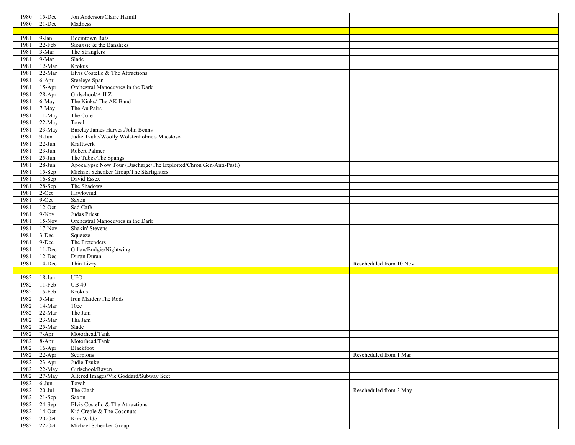| 1980 | $15$ -Dec  | Jon Anderson/Claire Hamill                                         |                         |
|------|------------|--------------------------------------------------------------------|-------------------------|
| 1980 | 21-Dec     | Madness                                                            |                         |
|      |            |                                                                    |                         |
| 1981 | 9-Jan      | <b>Boomtown Rats</b>                                               |                         |
| 1981 | 22-Feb     | Siouxsie & the Banshees                                            |                         |
| 1981 | 3-Mar      | The Stranglers                                                     |                         |
| 1981 | $9-Mar$    | Slade                                                              |                         |
| 1981 | $12-Mar$   | Krokus                                                             |                         |
|      |            |                                                                    |                         |
| 1981 | $22-Mar$   | Elvis Costello & The Attractions                                   |                         |
| 1981 | $6-Apr$    | Steeleye Span                                                      |                         |
| 1981 | $15-Apr$   | Orchestral Manoeuvres in the Dark                                  |                         |
| 1981 | 28-Apr     | Girlschool/A II Z                                                  |                         |
| 1981 | 6-May      | The Kinks/The AK Band                                              |                         |
| 1981 | 7-May      | The Au Pairs                                                       |                         |
| 1981 | 11-May     | The Cure                                                           |                         |
| 1981 | 22-May     | Toyah                                                              |                         |
| 1981 | 23-May     | Barclay James Harvest/John Benns                                   |                         |
| 1981 | $9-Jun$    | Judie Tzuke/Woolly Wolstenholme's Maestoso                         |                         |
| 1981 | $22-Jun$   | Kraftwerk                                                          |                         |
| 1981 | $23-Jun$   | Robert Palmer                                                      |                         |
| 1981 | $25-Jun$   | The Tubes/The Spangs                                               |                         |
| 1981 | $28-Jun$   | Apocalypse Now Tour (Discharge/The Exploited/Chron Gen/Anti-Pasti) |                         |
| 1981 | $15-Sep$   | Michael Schenker Group/The Starfighters                            |                         |
| 1981 | $16-Sep$   | David Essex                                                        |                         |
| 1981 | 28-Sep     | The Shadows                                                        |                         |
| 1981 | 2-Oct      | Hawkwind                                                           |                         |
| 1981 | 9-Oct      | Saxon                                                              |                         |
| 1981 | $12$ -Oct  | Sad Café                                                           |                         |
| 1981 | $9-Nov$    | Judas Priest                                                       |                         |
| 1981 | $15-Nov$   | Orchestral Manoeuvres in the Dark                                  |                         |
|      | $17-Nov$   |                                                                    |                         |
| 1981 |            | Shakin' Stevens                                                    |                         |
| 1981 | 3-Dec      | Squeeze                                                            |                         |
| 1981 | 9-Dec      | The Pretenders                                                     |                         |
| 1981 | $11 - Dec$ | Gillan/Budgie/Nightwing                                            |                         |
| 1981 | 12-Dec     | Duran Duran                                                        |                         |
| 1981 | 14-Dec     | Thin Lizzy                                                         | Rescheduled from 10 Nov |
|      |            |                                                                    |                         |
| 1982 | $18 - Jan$ | <b>UFO</b>                                                         |                         |
| 1982 | $11-Feb$   | UB40                                                               |                         |
| 1982 | $15-Feb$   | Krokus                                                             |                         |
| 1982 | 5-Mar      | Iron Maiden/The Rods                                               |                         |
| 1982 | 14-Mar     | 10cc                                                               |                         |
| 1982 | $22-Mar$   | The Jam                                                            |                         |
| 1982 | $23-Mar$   | Tha Jam                                                            |                         |
| 1982 | $25-Mar$   | Slade                                                              |                         |
| 1982 | 7-Apr      | Motorhead/Tank                                                     |                         |
| 1982 | 8-Apr      | Motorhead/Tank                                                     |                         |
| 1982 | $16$ -Apr  | Blackfoot                                                          |                         |
| 1982 | $22-Apr$   | Scorpions                                                          | Rescheduled from 1 Mar  |
| 1982 | $23-Apr$   | Judie Tzuke                                                        |                         |
| 1982 | 22-May     | Girlschool/Raven                                                   |                         |
| 1982 | 27-May     | Altered Images/Vic Goddard/Subway Sect                             |                         |
| 1982 | 6-Jun      | Toyah                                                              |                         |
| 1982 | $20 -$ Jul | The Clash                                                          | Rescheduled from 3 May  |
| 1982 | $21-Sep$   | Saxon                                                              |                         |
| 1982 | $24-Sep$   | Elvis Costello & The Attractions                                   |                         |
| 1982 | $14-Oct$   | Kid Creole & The Coconuts                                          |                         |
|      |            |                                                                    |                         |
| 1982 | $20$ -Oct  | Kim Wilde                                                          |                         |
| 1982 | $22-Oct$   | Michael Schenker Group                                             |                         |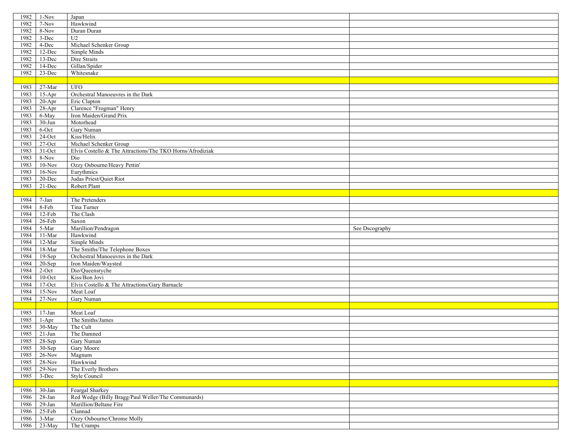| 1982 | $1-Nov$                   | Japan                                                     |                |
|------|---------------------------|-----------------------------------------------------------|----------------|
| 1982 | 7-Nov                     | Hawkwind                                                  |                |
| 1982 | 8-Nov                     | Duran Duran                                               |                |
| 1982 | 3-Dec                     | U <sub>2</sub>                                            |                |
| 1982 | 4-Dec                     | Michael Schenker Group                                    |                |
| 1982 | 12-Dec                    | Simple Minds                                              |                |
| 1982 | 13-Dec                    | Dire Straits                                              |                |
| 1982 | 14-Dec                    | Gillan/Spider                                             |                |
| 1982 | $23-Dec$                  |                                                           |                |
|      |                           | Whitesnake                                                |                |
|      |                           |                                                           |                |
| 1983 | 27-Mar                    | <b>UFO</b>                                                |                |
| 1983 | $15-Apr$                  | Orchestral Manoeuvres in the Dark                         |                |
| 1983 | $20-Apr$                  | Eric Clapton                                              |                |
| 1983 | $28-Apr$                  | Clarence "Frogman" Henry                                  |                |
| 1983 | 6-May                     | Iron Maiden/Grand Prix                                    |                |
| 1983 | $30 - Jun$                | Motorhead                                                 |                |
| 1983 | 6-Oct                     | Gary Numan                                                |                |
| 1983 | $24$ -Oct                 | Kiss/Helix                                                |                |
| 1983 | $27-Oct$                  | Michael Schenker Group                                    |                |
| 1983 | $31-Oct$                  | Elvis Costello & The Attractions/The TKO Horns/Afrodiziak |                |
| 1983 | 8-Nov                     | Dio                                                       |                |
| 1983 | $10-Nov$                  | Ozzy Osbourne/Heavy Pettin'                               |                |
| 1983 | $16-Nov$                  | Eurythmics                                                |                |
| 1983 | 20-Dec                    | Judas Priest/Quiet Riot                                   |                |
| 1983 | $21 - Dec$                | Robert Plant                                              |                |
|      |                           |                                                           |                |
| 1984 | 7-Jan                     | The Pretenders                                            |                |
| 1984 | 8-Feb                     | Tina Turner                                               |                |
| 1984 | $12$ -Feb                 | The Clash                                                 |                |
|      |                           |                                                           |                |
| 1984 |                           | Saxon                                                     |                |
|      | $26$ -Feb                 |                                                           |                |
| 1984 | 5-Mar                     | Marillion/Pendragon                                       | See Dscography |
| 1984 | 11-Mar                    | Hawkwind                                                  |                |
| 1984 | 12-Mar                    | Simple Minds                                              |                |
| 1984 | 18-Mar                    | The Smiths/The Telephone Boxes                            |                |
| 1984 | 19-Sep                    | Orchestral Manoeuvres in the Dark                         |                |
| 1984 | $20-Sep$                  | Iron Maiden/Waysted                                       |                |
| 1984 | 2-Oct                     | Dio/Queensryche                                           |                |
| 1984 | $10$ -Oct                 | Kiss/Bon Jovi                                             |                |
| 1984 | $17-Oct$                  | Elvis Costello & The Attractions/Gary Barnacle            |                |
| 1984 | $15-Nov$                  | Meat Loaf                                                 |                |
| 1984 | $27-Nov$                  | Gary Numan                                                |                |
|      |                           |                                                           |                |
| 1985 | $17 - Jan$                | Meat Loaf                                                 |                |
| 1985 | $1-Apr$                   | The Smiths/James                                          |                |
| 1985 | 30-May                    | The Cult                                                  |                |
| 1985 | $21-Jun$                  | The Damned                                                |                |
|      | 1985 28-Sep               | Gary Numan                                                |                |
| 1985 | $30-Sep$                  | Gary Moore                                                |                |
| 1985 | $26$ -Nov                 | Magnum                                                    |                |
| 1985 | $28-Nov$                  | Hawkwind                                                  |                |
| 1985 | $29-Nov$                  | The Everly Brothers                                       |                |
| 1985 | 3-Dec                     | Style Council                                             |                |
|      |                           |                                                           |                |
| 1986 | 30-Jan                    | Feargal Sharkey                                           |                |
| 1986 | 28-Jan                    | Red Wedge (Billy Bragg/Paul Weller/The Communards)        |                |
| 1986 | $29$ -Jan                 | Marillion/Beltane Fire                                    |                |
| 1986 | $25-Feb$                  | Clannad                                                   |                |
|      | 1986 3-Mar<br>1986 23-May | Ozzy Osbourne/Chrome Molly<br>The Cramps                  |                |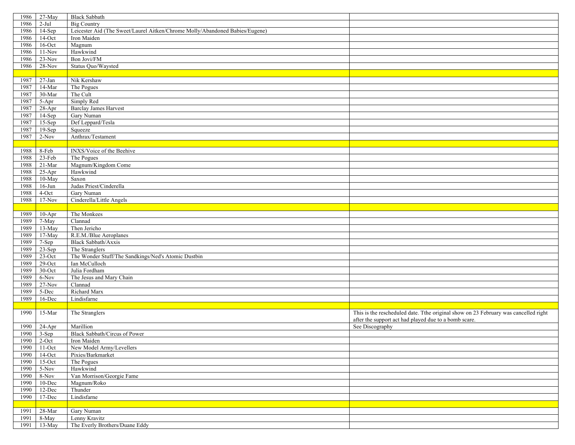| 1986         | 27-May          | <b>Black Sabbath</b>                                                         |                                                                                     |
|--------------|-----------------|------------------------------------------------------------------------------|-------------------------------------------------------------------------------------|
| 1986         | $2-Jul$         | <b>Big Country</b>                                                           |                                                                                     |
| 1986         | $14-Sep$        | Leicester Aid (The Sweet/Laurel Aitken/Chrome Molly/Abandoned Babies/Eugene) |                                                                                     |
| 1986         | $14$ -Oct       | Iron Maiden                                                                  |                                                                                     |
| 1986         | $16$ -Oct       | Magnum                                                                       |                                                                                     |
| 1986         | $11-Nov$        | Hawkwind                                                                     |                                                                                     |
| 1986         | $23-Nov$        | Bon Jovi/FM                                                                  |                                                                                     |
| 1986         | $28-Nov$        | Status Quo/Waysted                                                           |                                                                                     |
|              |                 |                                                                              |                                                                                     |
| 1987         |                 |                                                                              |                                                                                     |
|              | $27 - Jan$      | Nik Kershaw                                                                  |                                                                                     |
| 1987         | $14$ -Mar       | The Pogues                                                                   |                                                                                     |
| 1987         | 30-Mar          | The Cult                                                                     |                                                                                     |
| 1987         | 5-Apr           | Simply Red                                                                   |                                                                                     |
| 1987         | $28-Apr$        | <b>Barclay James Harvest</b>                                                 |                                                                                     |
| 1987         | 14-Sep          | Gary Numan                                                                   |                                                                                     |
| 1987         | $15-Sep$        | Def Leppard/Tesla                                                            |                                                                                     |
| 1987         | $19-Sep$        | Squeeze                                                                      |                                                                                     |
| 1987         | $2-Nov$         | Anthrax/Testament                                                            |                                                                                     |
|              |                 |                                                                              |                                                                                     |
| 1988         | 8-Feb           | INXS/Voice of the Beehive                                                    |                                                                                     |
| 1988         | $23-Feb$        | The Pogues                                                                   |                                                                                     |
| 1988         | $21-Mar$        | Magnum/Kingdom Come                                                          |                                                                                     |
| 1988         | $25-Apr$        | Hawkwind                                                                     |                                                                                     |
| 1988         | 10-May          | Saxon                                                                        |                                                                                     |
| 1988         | $16$ -Jun       | Judas Priest/Cinderella                                                      |                                                                                     |
| 1988         | 4-Oct           | Gary Numan                                                                   |                                                                                     |
| 1988         | $17-Nov$        | Cinderella/Little Angels                                                     |                                                                                     |
|              |                 |                                                                              |                                                                                     |
| 1989         | $10-Apr$        | The Monkees                                                                  |                                                                                     |
| 1989         | 7-May           | Clannad                                                                      |                                                                                     |
| 1989         | 13-May          | Then Jericho                                                                 |                                                                                     |
| 1989         | 17-May          | R.E.M./Blue Aeroplanes                                                       |                                                                                     |
| 1989         | 7-Sep           | Black Sabbath/Axxis                                                          |                                                                                     |
| 1989         | 23-Sep          | The Stranglers                                                               |                                                                                     |
| 1989         | $23$ -Oct       | The Wonder Stuff/The Sandkings/Ned's Atomic Dustbin                          |                                                                                     |
| 1989         | $29$ -Oct       | Ian McCulloch                                                                |                                                                                     |
| 1989         | $30$ -Oct       | Julia Fordham                                                                |                                                                                     |
|              |                 | The Jesus and Mary Chain                                                     |                                                                                     |
| 1989         | 6-Nov           |                                                                              |                                                                                     |
| 1989         | $27-Nov$        | Clannad                                                                      |                                                                                     |
| 1989         | 5-Dec           | Richard Marx                                                                 |                                                                                     |
| 1989         | 16-Dec          | Lindisfarne                                                                  |                                                                                     |
|              |                 |                                                                              |                                                                                     |
| 1990         | 15-Mar          | The Stranglers                                                               | This is the rescheduled date. Tthe original show on 23 February was cancelled right |
|              |                 |                                                                              | after the support act had played due to a bomb scare.                               |
| 1990         | 24-Apr          | Marillion                                                                    | See Discography                                                                     |
| 1990         | $3-Sep$         | Black Sabbath/Circus of Power                                                |                                                                                     |
|              | 1990 2-Oct      | Iron Maiden                                                                  |                                                                                     |
| 1990         | $11-Oct$        | New Model Army/Levellers                                                     |                                                                                     |
| 1990         | $14$ -Oct       | Pixies/Barkmarket                                                            |                                                                                     |
| 1990         | $15-Oct$        | The Pogues                                                                   |                                                                                     |
| 1990         | $5-Nov$         | Hawkwind                                                                     |                                                                                     |
| 1990         | 8-Nov           | Van Morrison/Georgie Fame                                                    |                                                                                     |
| 1990         | $10$ -Dec       | Magnum/Roko                                                                  |                                                                                     |
|              |                 |                                                                              |                                                                                     |
| 1990         | 12-Dec          | Thunder                                                                      |                                                                                     |
| 1990         | $17 - Dec$      | Lindisfarne                                                                  |                                                                                     |
|              |                 |                                                                              |                                                                                     |
|              |                 |                                                                              |                                                                                     |
| 1991<br>1991 | 28-Mar<br>8-May | Gary Numan<br>Lenny Kravitz                                                  |                                                                                     |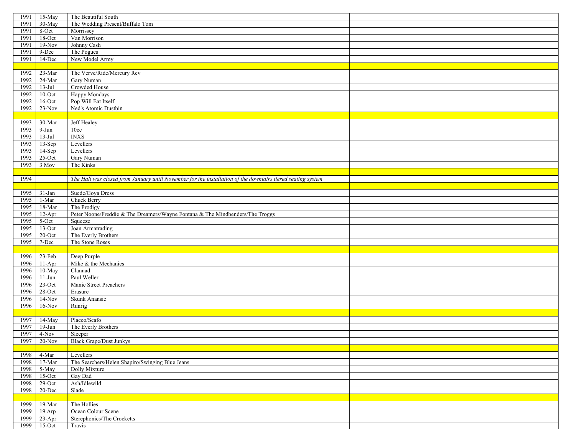| 1991 | 15-May                   | The Beautiful South                                                                                         |  |
|------|--------------------------|-------------------------------------------------------------------------------------------------------------|--|
| 1991 | 30-May                   | The Wedding Present/Buffalo Tom                                                                             |  |
| 1991 | $8$ -Oct                 | Morrissey                                                                                                   |  |
| 1991 | $18$ -Oct                | Van Morrison                                                                                                |  |
| 1991 | $19-Nov$                 | Johnny Cash                                                                                                 |  |
| 1991 | 9-Dec                    | The Pogues                                                                                                  |  |
| 1991 | 14-Dec                   | New Model Army                                                                                              |  |
|      |                          |                                                                                                             |  |
|      |                          | The Verve/Ride/Mercury Rev                                                                                  |  |
| 1992 | 23-Mar                   |                                                                                                             |  |
| 1992 | $24$ -Mar                | Gary Numan                                                                                                  |  |
| 1992 | $13-Jul$                 | Crowded House                                                                                               |  |
| 1992 | $10$ -Oct                | Happy Mondays                                                                                               |  |
| 1992 | $16$ -Oct                | Pop Will Eat Itself                                                                                         |  |
| 1992 | $23-Nov$                 | Ned's Atomic Dustbin                                                                                        |  |
|      |                          |                                                                                                             |  |
| 1993 | 30-Mar                   | Jeff Healey                                                                                                 |  |
| 1993 | $9-Jun$                  | 10cc                                                                                                        |  |
| 1993 | $13-Jul$                 | <b>INXS</b>                                                                                                 |  |
| 1993 | $13-Sep$                 | Levellers                                                                                                   |  |
| 1993 | $14-Sep$                 | Levellers                                                                                                   |  |
| 1993 | $25$ -Oct                | Gary Numan                                                                                                  |  |
| 1993 | 3 Mov                    | The Kinks                                                                                                   |  |
|      |                          |                                                                                                             |  |
| 1994 |                          | The Hall was closed from January until November for the installation of the downtairs tiered seating system |  |
|      |                          |                                                                                                             |  |
| 1995 | $31-Ian$                 | Suede/Goya Dress                                                                                            |  |
| 1995 | $1\mbox{-}\mathrm{Mar}$  | Chuck Berry                                                                                                 |  |
| 1995 | $18-Mar$                 | The Prodigy                                                                                                 |  |
| 1995 | $12-Apr$                 | Peter Noone/Freddie & The Dreamers/Wayne Fontana & The Mindbenders/The Troggs                               |  |
| 1995 | $5-Oct$                  | Squeeze                                                                                                     |  |
| 1995 | $13$ -Oct                | Joan Armatrading                                                                                            |  |
| 1995 | $20$ -Oct                | The Everly Brothers                                                                                         |  |
| 1995 | 7-Dec                    | The Stone Roses                                                                                             |  |
|      |                          |                                                                                                             |  |
| 1996 | $23$ -Feb                | Deep Purple                                                                                                 |  |
| 1996 |                          |                                                                                                             |  |
|      | $11-Apr$                 | Mike & the Mechanics                                                                                        |  |
| 1996 | 10-May                   | Clannad                                                                                                     |  |
| 1996 | $11-Jun$                 | Paul Weller                                                                                                 |  |
| 1996 | $23-Oct$                 | Manic Street Preachers                                                                                      |  |
| 1996 | $28\mbox{-}\mathrm{Oct}$ | Erasure                                                                                                     |  |
| 1996 | $14-Nov$                 | Skunk Anansie                                                                                               |  |
| 1996 | $16-Nov$                 | Runrig                                                                                                      |  |
|      |                          |                                                                                                             |  |
| 1997 | 14-May                   | Placeo/Scafo                                                                                                |  |
| 1997 | $19-Jun$                 | The Everly Brothers                                                                                         |  |
| 1997 | 4-Nov                    | Sleeper                                                                                                     |  |
|      | 1997 20-Nov              | <b>Black Grape/Dust Junkys</b>                                                                              |  |
|      |                          |                                                                                                             |  |
| 1998 | $4\mbox{-}\mathrm{Mar}$  | Levellers                                                                                                   |  |
| 1998 | 17-Mar                   | The Searchers/Helen Shapiro/Swinging Blue Jeans                                                             |  |
| 1998 | 5-May                    | Dolly Mixture                                                                                               |  |
| 1998 | $15$ -Oct                | Gay Dad                                                                                                     |  |
| 1998 | $29$ -Oct                | Ash/Idlewild                                                                                                |  |
| 1998 | 20-Dec                   | Slade                                                                                                       |  |
|      |                          |                                                                                                             |  |
| 1999 | 19-Mar                   | The Hollies                                                                                                 |  |
| 1999 | 19 Arp                   | Ocean Colour Scene                                                                                          |  |
| 1999 | $23-Apr$                 | Sterephonics/The Crocketts                                                                                  |  |
| 1999 | $15-Oct$                 | Travis                                                                                                      |  |
|      |                          |                                                                                                             |  |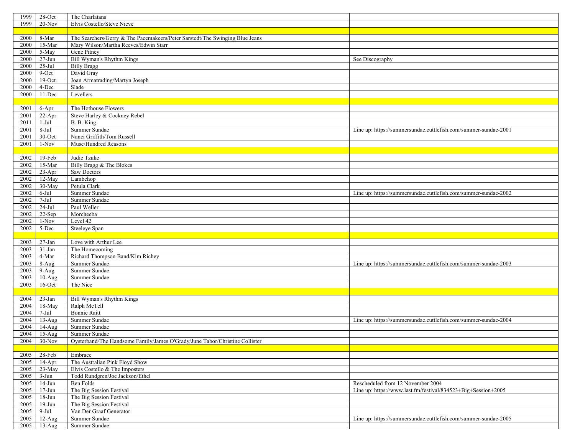| 1999<br>$28 - Oct$                | The Charlatans                                                               |                                                                 |
|-----------------------------------|------------------------------------------------------------------------------|-----------------------------------------------------------------|
| 1999<br>$20-Nov$                  | Elvis Costello/Steve Nieve                                                   |                                                                 |
|                                   |                                                                              |                                                                 |
| 2000<br>8-Mar                     | The Searchers/Gerry & The Pacemakeers/Peter Sarstedt/The Swinging Blue Jeans |                                                                 |
| 2000<br>15-Mar                    | Mary Wilson/Martha Reeves/Edwin Starr                                        |                                                                 |
| 2000<br>5-May                     | Gene Pitney                                                                  |                                                                 |
| $27 - Jun$<br>2000                | Bill Wyman's Rhythm Kings                                                    | See Discography                                                 |
| $25-Jul$<br>2000                  | <b>Billy Bragg</b>                                                           |                                                                 |
| 9-Oct<br>2000                     | David Gray                                                                   |                                                                 |
| $19$ -Oct                         | Joan Armatrading/Martyn Joseph                                               |                                                                 |
| 2000                              |                                                                              |                                                                 |
| 4-Dec<br>2000                     | Slade                                                                        |                                                                 |
| 11-Dec<br>2000                    | Levellers                                                                    |                                                                 |
|                                   |                                                                              |                                                                 |
| 2001<br>6-Apr                     | The Hothouse Flowers                                                         |                                                                 |
| 2001<br>$22-Apr$                  | Steve Harley & Cockney Rebel                                                 |                                                                 |
| 2011<br>1-Jul                     | B. B. King                                                                   |                                                                 |
| $8-Ju1$<br>2001                   | Summer Sundae                                                                | Line up: https://summersundae.cuttlefish.com/summer-sundae-2001 |
| 2001<br>30-Oct                    | Nanci Griffith/Tom Russell                                                   |                                                                 |
| 2001<br>$1-Nov$                   | Muse/Hundred Reasons                                                         |                                                                 |
|                                   |                                                                              |                                                                 |
| 2002<br>19-Feb                    | Judie Tzuke                                                                  |                                                                 |
| 2002<br>15-Mar                    | Billy Bragg & The Blokes                                                     |                                                                 |
| $23-Apr$<br>2002                  | Saw Doctors                                                                  |                                                                 |
| 2002<br>12-May                    | Lambchop                                                                     |                                                                 |
| 30-May<br>2002                    | Petula Clark                                                                 |                                                                 |
| 2002<br>$6-Jul$                   | Summer Sundae                                                                | Line up: https://summersundae.cuttlefish.com/summer-sundae-2002 |
| 2002<br>$7-Jul$                   | Summer Sundae                                                                |                                                                 |
| $24-Jul$<br>2002                  | Paul Weller                                                                  |                                                                 |
| 2002<br>22-Sep                    | Morcheeba                                                                    |                                                                 |
| 2002<br>$1-Nov$                   | Level 42                                                                     |                                                                 |
| 5-Dec<br>2002                     | Steeleye Span                                                                |                                                                 |
|                                   |                                                                              |                                                                 |
| 2003<br>$27-Ian$                  | Love with Arthur Lee                                                         |                                                                 |
| $31-Ian$<br>2003                  | The Homecoming                                                               |                                                                 |
| 2003<br>4-Mar                     | Richard Thompson Band/Kim Richey                                             |                                                                 |
| 2003<br>$8-Aug$                   | Summer Sundae                                                                | Line up: https://summersundae.cuttlefish.com/summer-sundae-2003 |
| 2003<br>$9-Aug$                   | Summer Sundae                                                                |                                                                 |
| 2003<br>$10-Aug$                  | Summer Sundae                                                                |                                                                 |
| 2003<br>$16$ -Oct                 | The Nice                                                                     |                                                                 |
|                                   |                                                                              |                                                                 |
|                                   | Bill Wyman's Rhythm Kings                                                    |                                                                 |
| 2004<br>$23$ -Jan                 |                                                                              |                                                                 |
| 2004<br>18-May<br>$7-Jul$<br>2004 | Ralph McTell<br><b>Bonnie Raitt</b>                                          |                                                                 |
|                                   |                                                                              |                                                                 |
| 2004<br>$13-Aug$                  | Summer Sundae                                                                | Line up: https://summersundae.cuttlefish.com/summer-sundae-2004 |
| 2004<br>$14-Aug$                  | Summer Sundae                                                                |                                                                 |
| $15-Aug$<br>2004                  | Summer Sundae                                                                |                                                                 |
| 2004<br>$30-Nov$                  | Oysterband/The Handsome Family/James O'Grady/June Tabor/Christine Collister  |                                                                 |
|                                   |                                                                              |                                                                 |
| 2005<br>$28$ -Feb                 | Embrace                                                                      |                                                                 |
| 2005<br>$14-Apr$                  | The Australian Pink Floyd Show                                               |                                                                 |
| $23-May$<br>2005                  | Elvis Costello & The Imposters                                               |                                                                 |
| 2005<br>$3-Jun$                   | Todd Rundgren/Joe Jackson/Ethel                                              |                                                                 |
| 2005<br>$14-Jun$                  | Ben Folds                                                                    | Rescheduled from 12 November 2004                               |
| $17 - Jun$<br>2005                | The Big Session Festival                                                     | Line up: https://www.last.fm/festival/834523+Big+Session+2005   |
| 2005<br>$18 - Jun$                | The Big Session Festival                                                     |                                                                 |
| $19-Jun$<br>2005                  | The Big Session Festival                                                     |                                                                 |
| $9-Jul$<br>2005                   | Van Der Graaf Generator                                                      |                                                                 |
| 2005<br>$12-Aug$                  | Summer Sundae                                                                | Line up: https://summersundae.cuttlefish.com/summer-sundae-2005 |
| $13-Aug$<br>2005                  | Summer Sundae                                                                |                                                                 |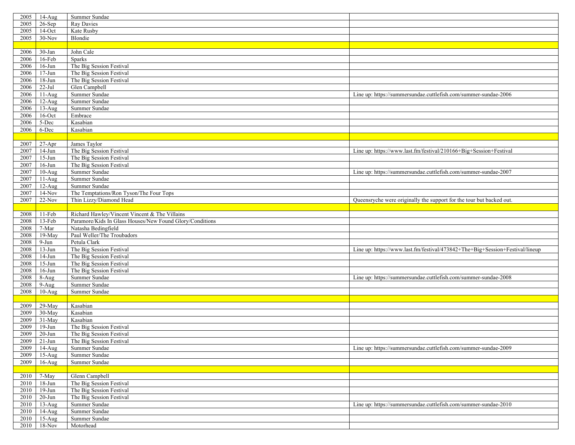| 2005         | $14-Aug$             | Summer Sundae                                            |                                                                              |
|--------------|----------------------|----------------------------------------------------------|------------------------------------------------------------------------------|
| 2005         | $26$ -Sep            | Ray Davies                                               |                                                                              |
| 2005         | $14$ -Oct            | Kate Rusby                                               |                                                                              |
| 2005         | $30-Nov$             | Blondie                                                  |                                                                              |
|              |                      |                                                          |                                                                              |
| 2006         | 30-Jan               | John Cale                                                |                                                                              |
| 2006         | 16-Feb               | Sparks                                                   |                                                                              |
| 2006         | $16$ -Jun            | The Big Session Festival                                 |                                                                              |
| 2006         | $17 - Jun$           | The Big Session Festival                                 |                                                                              |
| 2006         | $18 - Jun$           | The Big Session Festival                                 |                                                                              |
| 2006         | $22$ -Jul $\,$       | Glen Campbell                                            |                                                                              |
| 2006         | $11-Aug$             | Summer Sundae                                            | Line up: https://summersundae.cuttlefish.com/summer-sundae-2006              |
| 2006         | $12-Aug$             | Summer Sundae                                            |                                                                              |
| 2006         | $13-Aug$             | Summer Sundae                                            |                                                                              |
| 2006         | $16$ -Oct            | Embrace                                                  |                                                                              |
| 2006         | 5-Dec                | Kasabian                                                 |                                                                              |
| 2006         | 6-Dec                | Kasabian                                                 |                                                                              |
|              |                      |                                                          |                                                                              |
|              |                      |                                                          |                                                                              |
| 2007         | $27 - Apr$           | James Taylor                                             |                                                                              |
| 2007         | $14-Jun$             | The Big Session Festival                                 | Line up: https://www.last.fm/festival/210166+Big+Session+Festival            |
| 2007         | $15$ -Jun            | The Big Session Festival                                 |                                                                              |
| 2007         | $16$ -Jun            | The Big Session Festival                                 |                                                                              |
| 2007         | $10-Aug$             | Summer Sundae                                            | Line up: https://summersundae.cuttlefish.com/summer-sundae-2007              |
| 2007         | $11-Aug$             | Summer Sundae                                            |                                                                              |
| 2007         | $12-Aug$             | Summer Sundae                                            |                                                                              |
| 2007         | $14-Nov$             | The Temptations/Ron Tyson/The Four Tops                  |                                                                              |
| 2007         | $22-Nov$             | Thin Lizzy/Diamond Head                                  | Queensryche were originally the support for the tour but backed out.         |
|              |                      |                                                          |                                                                              |
| 2008         | $11-Feb$             | Richard Hawley/Vincent Vincent & The Villains            |                                                                              |
| 2008         | 13-Feb               | Paramore/Kids In Glass Houses/New Found Glory/Conditions |                                                                              |
| 2008         | 7-Mar                | Natasha Bedingfield                                      |                                                                              |
| 2008         | $19-May$             | Paul Weller/The Troubadors                               |                                                                              |
| 2008         | 9-Jun                | Petula Clark                                             |                                                                              |
| 2008         | $13-Jun$             | The Big Session Festival                                 | Line up: https://www.last.fm/festival/473842+The+Big+Session+Festival/lineup |
| 2008         | $14-Jun$             | The Big Session Festival                                 |                                                                              |
| 2008         | $15 - Jun$           |                                                          |                                                                              |
| 2008         |                      | The Big Session Festival                                 |                                                                              |
| 2008         | $16$ -Jun            | The Big Session Festival                                 |                                                                              |
|              | 8-Aug                | Summer Sundae                                            | Line up: https://summersundae.cuttlefish.com/summer-sundae-2008              |
| 2008         | $9-Aug$              | Summer Sundae                                            |                                                                              |
| 2008         | $10-Aug$             | Summer Sundae                                            |                                                                              |
|              |                      |                                                          |                                                                              |
| 2009         | 29-May               | Kasabian                                                 |                                                                              |
| 2009         | 30-May               | Kasabian                                                 |                                                                              |
| 2009         | 31-May               | Kasabian                                                 |                                                                              |
| 2009         | $19-Jun$             | The Big Session Festival                                 |                                                                              |
| 2009         | $20 - Jun$           | The Big Session Festival                                 |                                                                              |
| 2009         | 21-Jun               | The Big Session Festival                                 |                                                                              |
| 2009         | $14-Aug$             | Summer Sundae                                            | Line up: https://summersundae.cuttlefish.com/summer-sundae-2009              |
| 2009         | $15-Aug$             | Summer Sundae                                            |                                                                              |
| 2009         | $16$ -Aug            | Summer Sundae                                            |                                                                              |
|              |                      |                                                          |                                                                              |
|              |                      |                                                          |                                                                              |
| 2010<br>2010 | 7-May                | Glenn Campbell                                           |                                                                              |
|              | $18 - Jun$           | The Big Session Festival                                 |                                                                              |
| 2010         | $19-Jun$             | The Big Session Festival                                 |                                                                              |
| 2010         | $20 - Jun$           | The Big Session Festival                                 |                                                                              |
| 2010         | $13-Aug$             | Summer Sundae                                            | Line up: https://summersundae.cuttlefish.com/summer-sundae-2010              |
| 2010         | $14-Aug$             | Summer Sundae                                            |                                                                              |
| 2010<br>2010 | $15-Aug$<br>$18-Nov$ | Summer Sundae<br>Motorhead                               |                                                                              |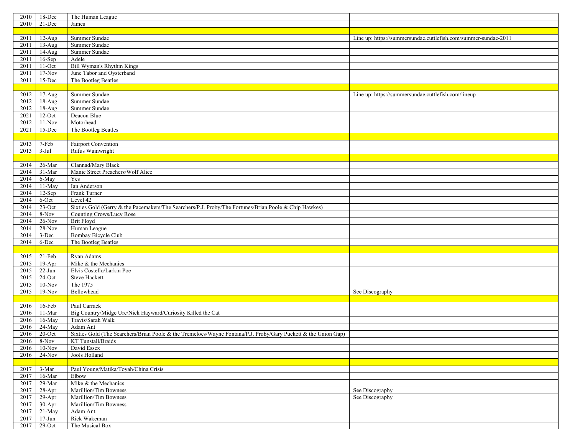| 2010 | 18-Dec               | The Human League                                                                                               |                                                                 |
|------|----------------------|----------------------------------------------------------------------------------------------------------------|-----------------------------------------------------------------|
| 2010 | 21-Dec               | James                                                                                                          |                                                                 |
|      |                      |                                                                                                                |                                                                 |
| 2011 | $12-Aug$             | Summer Sundae                                                                                                  | Line up: https://summersundae.cuttlefish.com/summer-sundae-2011 |
|      |                      |                                                                                                                |                                                                 |
| 2011 | $13-Aug$             | Summer Sundae                                                                                                  |                                                                 |
| 2011 | $14-Aug$             | Summer Sundae                                                                                                  |                                                                 |
| 2011 | $16-Sep$             | Adele                                                                                                          |                                                                 |
| 2011 | $\overline{1}$ 1-Oct | Bill Wyman's Rhythm Kings                                                                                      |                                                                 |
| 2011 | $17-Nov$             | June Tabor and Oysterband                                                                                      |                                                                 |
| 2011 | 15-Dec               | The Bootleg Beatles                                                                                            |                                                                 |
|      |                      |                                                                                                                |                                                                 |
| 2012 | $17-Aug$             | Summer Sundae                                                                                                  | Line up: https://summersundae.cuttlefish.com/lineup             |
| 2012 | $18-Aug$             | Summer Sundae                                                                                                  |                                                                 |
| 2012 | 18-Aug               | Summer Sundae                                                                                                  |                                                                 |
| 2021 | $12$ -Oct            | Deacon Blue                                                                                                    |                                                                 |
| 2012 | $11-Nov$             | Motorhead                                                                                                      |                                                                 |
|      |                      |                                                                                                                |                                                                 |
| 2021 | 15-Dec               | The Bootleg Beatles                                                                                            |                                                                 |
|      |                      |                                                                                                                |                                                                 |
| 2013 | 7-Feb                | Fairport Convention                                                                                            |                                                                 |
| 2013 | $3-Jul$              | Rufus Wainwright                                                                                               |                                                                 |
|      |                      |                                                                                                                |                                                                 |
| 2014 | 26-Mar               | Clannad/Mary Black                                                                                             |                                                                 |
| 2014 | 31-Mar               | Manic Street Preachers/Wolf Alice                                                                              |                                                                 |
| 2014 | 6-May                | Yes                                                                                                            |                                                                 |
| 2014 | $11-May$             | Ian Anderson                                                                                                   |                                                                 |
| 2014 | $12-Sep$             | Frank Turner                                                                                                   |                                                                 |
| 2014 | 6-Oct                | Level 42                                                                                                       |                                                                 |
| 2014 | $23$ -Oct            | Sixties Gold (Gerry & the Pacemakers/The Searchers/P.J. Proby/The Fortunes/Brian Poole & Chip Hawkes)          |                                                                 |
| 2014 | 8-Nov                | Counting Crows/Lucy Rose                                                                                       |                                                                 |
| 2014 | $26$ -Nov            | <b>Brit Floyd</b>                                                                                              |                                                                 |
|      | 28-Nov               |                                                                                                                |                                                                 |
| 2014 |                      | Human League                                                                                                   |                                                                 |
| 2014 | 3-Dec                | <b>Bombay Bicycle Club</b>                                                                                     |                                                                 |
| 2014 | 6-Dec                | The Bootleg Beatles                                                                                            |                                                                 |
|      |                      |                                                                                                                |                                                                 |
| 2015 | 21-Feb               | Ryan Adams                                                                                                     |                                                                 |
| 2015 | $19-Apr$             | Mike & the Mechanics                                                                                           |                                                                 |
| 2015 | $22-Jun$             | Elvis Costello/Larkin Poe                                                                                      |                                                                 |
| 2015 | $24$ -Oct            | <b>Steve Hackett</b>                                                                                           |                                                                 |
| 2015 | $10-Nov$             | The 1975                                                                                                       |                                                                 |
| 2015 | $19-Nov$             | Bellowhead                                                                                                     | See Discography                                                 |
|      |                      |                                                                                                                |                                                                 |
| 2016 | 16-Feb               | Paul Carrack                                                                                                   |                                                                 |
| 2016 | 11-Mar               | Big Country/Midge Ure/Nick Hayward/Curiosity Killed the Cat                                                    |                                                                 |
| 2016 | 16-May               | Travis/Sarah Walk                                                                                              |                                                                 |
| 2016 | 24-May               | Adam Ant                                                                                                       |                                                                 |
| 2016 | $20$ -Oct            | Sixties Gold (The Searchers/Brian Poole & the Tremeloes/Wayne Fontana/P.J. Proby/Gary Puckett & the Union Gap) |                                                                 |
|      |                      |                                                                                                                |                                                                 |
|      | 2016 8-Nov           | KT Tunstall/Braids                                                                                             |                                                                 |
| 2016 | $10-Nov$             | David Essex                                                                                                    |                                                                 |
| 2016 | $24-Nov$             | Jools Holland                                                                                                  |                                                                 |
|      |                      |                                                                                                                |                                                                 |
| 2017 | 3-Mar                | Paul Young/Matika/Toyah/China Crisis                                                                           |                                                                 |
| 2017 | 16-Mar               | Elbow                                                                                                          |                                                                 |
| 2017 | 29-Mar               | Mike & the Mechanics                                                                                           |                                                                 |
| 2017 | $28-Apr$             | Marillion/Tim Bowness                                                                                          | See Discography                                                 |
| 2017 | $29-Apr$             | Marillion/Tim Bowness                                                                                          | See Discography                                                 |
| 2017 | $30-Apr$             | Marillion/Tim Bowness                                                                                          |                                                                 |
| 2017 | 21-May               | Adam Ant                                                                                                       |                                                                 |
| 2017 | $17 - Jun$           | Rick Wakeman                                                                                                   |                                                                 |
| 2017 | $29$ -Oct            | The Musical Box                                                                                                |                                                                 |
|      |                      |                                                                                                                |                                                                 |